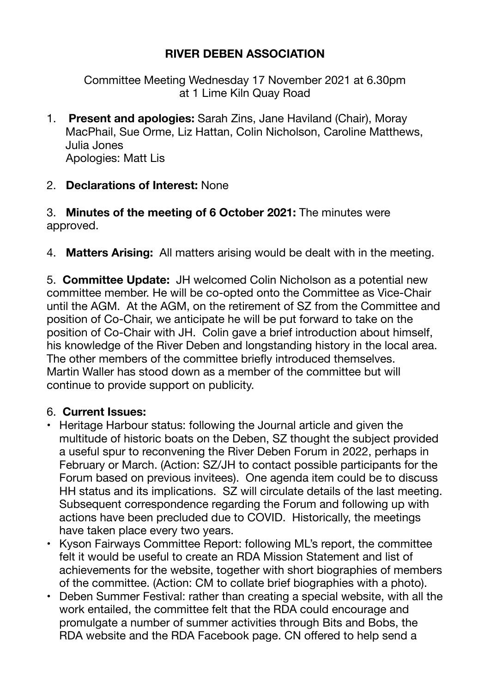## **RIVER DEBEN ASSOCIATION**

Committee Meeting Wednesday 17 November 2021 at 6.30pm at 1 Lime Kiln Quay Road

1. **Present and apologies:** Sarah Zins, Jane Haviland (Chair), Moray MacPhail, Sue Orme, Liz Hattan, Colin Nicholson, Caroline Matthews, Julia Jones Apologies: Matt Lis

### 2. **Declarations of Interest:** None

3. **Minutes of the meeting of 6 October 2021:** The minutes were approved.

4. **Matters Arising:** All matters arising would be dealt with in the meeting.

5. **Committee Update:** JH welcomed Colin Nicholson as a potential new committee member. He will be co-opted onto the Committee as Vice-Chair until the AGM. At the AGM, on the retirement of SZ from the Committee and position of Co-Chair, we anticipate he will be put forward to take on the position of Co-Chair with JH. Colin gave a brief introduction about himself, his knowledge of the River Deben and longstanding history in the local area. The other members of the committee briefly introduced themselves. Martin Waller has stood down as a member of the committee but will continue to provide support on publicity.

#### 6. **Current Issues:**

- Heritage Harbour status: following the Journal article and given the multitude of historic boats on the Deben, SZ thought the subject provided a useful spur to reconvening the River Deben Forum in 2022, perhaps in February or March. (Action: SZ/JH to contact possible participants for the Forum based on previous invitees). One agenda item could be to discuss HH status and its implications. SZ will circulate details of the last meeting. Subsequent correspondence regarding the Forum and following up with actions have been precluded due to COVID. Historically, the meetings have taken place every two years.
- Kyson Fairways Committee Report: following ML's report, the committee felt it would be useful to create an RDA Mission Statement and list of achievements for the website, together with short biographies of members of the committee. (Action: CM to collate brief biographies with a photo).
- Deben Summer Festival: rather than creating a special website, with all the work entailed, the committee felt that the RDA could encourage and promulgate a number of summer activities through Bits and Bobs, the RDA website and the RDA Facebook page. CN offered to help send a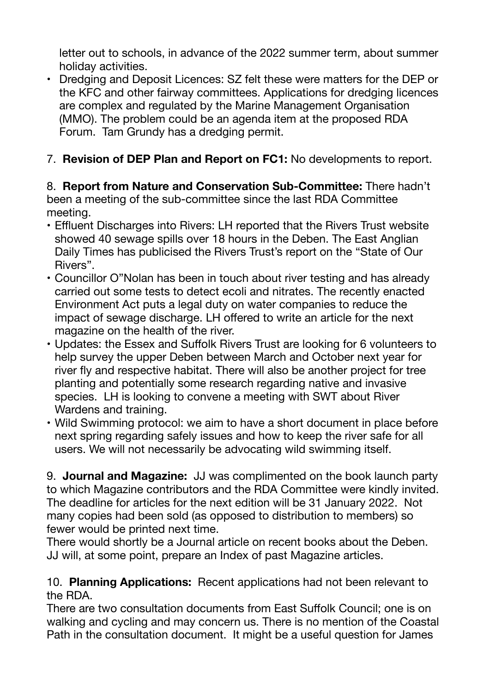letter out to schools, in advance of the 2022 summer term, about summer holiday activities.

• Dredging and Deposit Licences: SZ felt these were matters for the DEP or the KFC and other fairway committees. Applications for dredging licences are complex and regulated by the Marine Management Organisation (MMO). The problem could be an agenda item at the proposed RDA Forum. Tam Grundy has a dredging permit.

# 7. **Revision of DEP Plan and Report on FC1:** No developments to report.

8. **Report from Nature and Conservation Sub-Committee:** There hadn't been a meeting of the sub-committee since the last RDA Committee meeting.

- Effluent Discharges into Rivers: LH reported that the Rivers Trust website showed 40 sewage spills over 18 hours in the Deben. The East Anglian Daily Times has publicised the Rivers Trust's report on the "State of Our Rivers".
- Councillor O"Nolan has been in touch about river testing and has already carried out some tests to detect ecoli and nitrates. The recently enacted Environment Act puts a legal duty on water companies to reduce the impact of sewage discharge. LH offered to write an article for the next magazine on the health of the river.
- Updates: the Essex and Suffolk Rivers Trust are looking for 6 volunteers to help survey the upper Deben between March and October next year for river fly and respective habitat. There will also be another project for tree planting and potentially some research regarding native and invasive species. LH is looking to convene a meeting with SWT about River Wardens and training.
- Wild Swimming protocol: we aim to have a short document in place before next spring regarding safely issues and how to keep the river safe for all users. We will not necessarily be advocating wild swimming itself.

9. **Journal and Magazine:** JJ was complimented on the book launch party to which Magazine contributors and the RDA Committee were kindly invited. The deadline for articles for the next edition will be 31 January 2022. Not many copies had been sold (as opposed to distribution to members) so fewer would be printed next time.

There would shortly be a Journal article on recent books about the Deben. JJ will, at some point, prepare an Index of past Magazine articles.

### 10. **Planning Applications:** Recent applications had not been relevant to the RDA.

There are two consultation documents from East Suffolk Council; one is on walking and cycling and may concern us. There is no mention of the Coastal Path in the consultation document. It might be a useful question for James